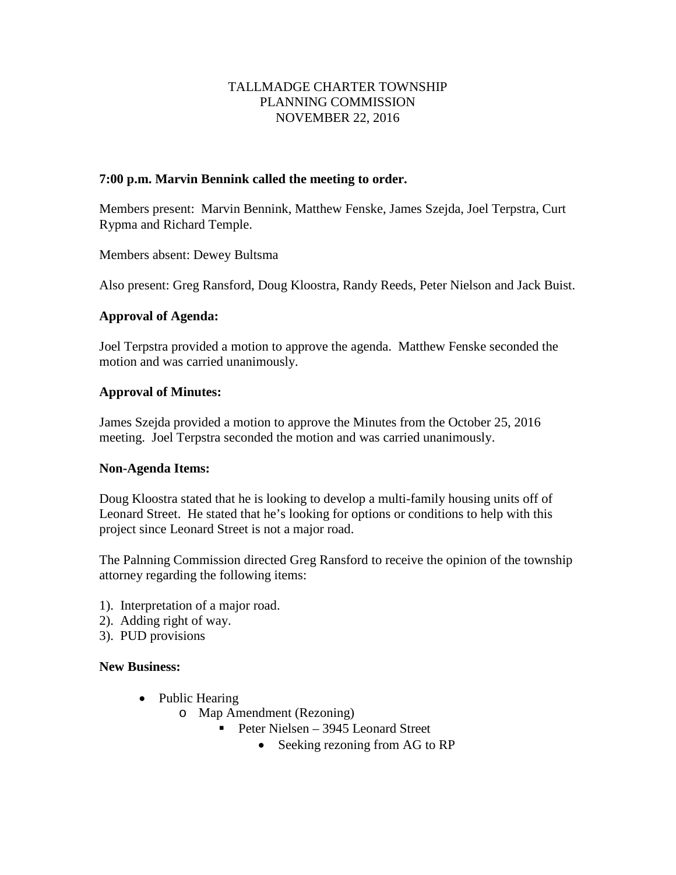# TALLMADGE CHARTER TOWNSHIP PLANNING COMMISSION NOVEMBER 22, 2016

# **7:00 p.m. Marvin Bennink called the meeting to order.**

Members present: Marvin Bennink, Matthew Fenske, James Szejda, Joel Terpstra, Curt Rypma and Richard Temple.

Members absent: Dewey Bultsma

Also present: Greg Ransford, Doug Kloostra, Randy Reeds, Peter Nielson and Jack Buist.

# **Approval of Agenda:**

Joel Terpstra provided a motion to approve the agenda. Matthew Fenske seconded the motion and was carried unanimously.

# **Approval of Minutes:**

James Szejda provided a motion to approve the Minutes from the October 25, 2016 meeting. Joel Terpstra seconded the motion and was carried unanimously.

### **Non-Agenda Items:**

Doug Kloostra stated that he is looking to develop a multi-family housing units off of Leonard Street. He stated that he's looking for options or conditions to help with this project since Leonard Street is not a major road.

The Palnning Commission directed Greg Ransford to receive the opinion of the township attorney regarding the following items:

- 1). Interpretation of a major road.
- 2). Adding right of way.
- 3). PUD provisions

### **New Business:**

- Public Hearing
	- o Map Amendment (Rezoning)
		- Peter Nielsen 3945 Leonard Street
			- Seeking rezoning from AG to RP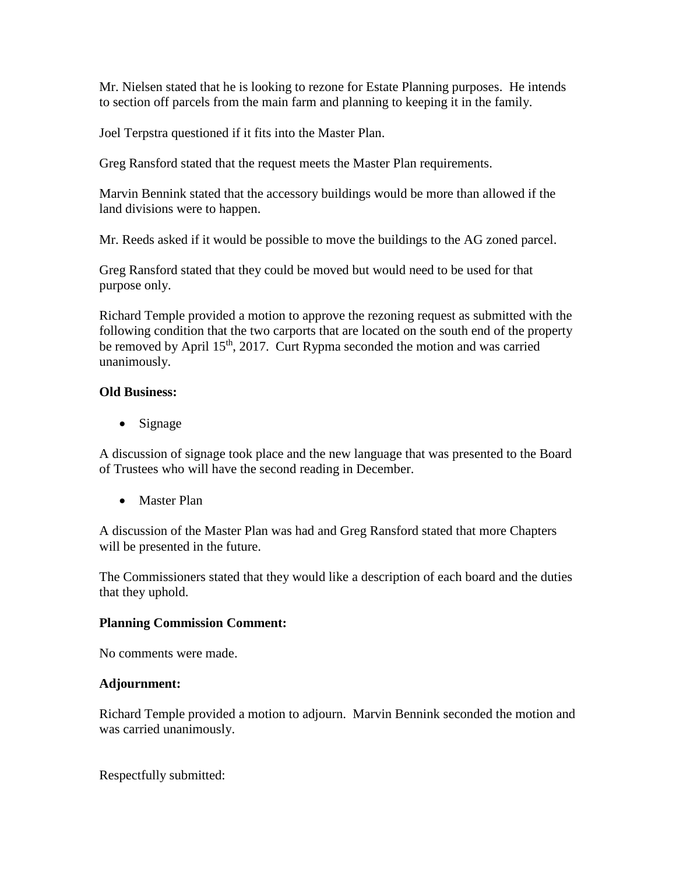Mr. Nielsen stated that he is looking to rezone for Estate Planning purposes. He intends to section off parcels from the main farm and planning to keeping it in the family.

Joel Terpstra questioned if it fits into the Master Plan.

Greg Ransford stated that the request meets the Master Plan requirements.

Marvin Bennink stated that the accessory buildings would be more than allowed if the land divisions were to happen.

Mr. Reeds asked if it would be possible to move the buildings to the AG zoned parcel.

Greg Ransford stated that they could be moved but would need to be used for that purpose only.

Richard Temple provided a motion to approve the rezoning request as submitted with the following condition that the two carports that are located on the south end of the property be removed by April 15<sup>th</sup>, 2017. Curt Rypma seconded the motion and was carried unanimously.

# **Old Business:**

• Signage

A discussion of signage took place and the new language that was presented to the Board of Trustees who will have the second reading in December.

• Master Plan

A discussion of the Master Plan was had and Greg Ransford stated that more Chapters will be presented in the future.

The Commissioners stated that they would like a description of each board and the duties that they uphold.

### **Planning Commission Comment:**

No comments were made.

### **Adjournment:**

Richard Temple provided a motion to adjourn. Marvin Bennink seconded the motion and was carried unanimously.

Respectfully submitted: